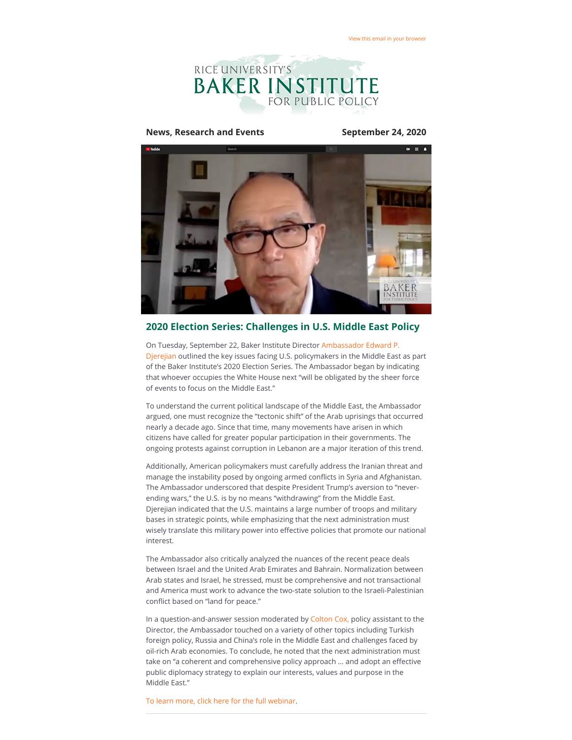

#### **News, Research and Events September 24, 2020**



#### **2020 Election Series: Challenges in U.S. Middle East Policy**

On Tuesday, September 22, Baker Institute Director Ambassador Edward P. [Djerejian outlined the key issues facing U.S. policymakers in the Middle East](https://riceconnect.rice.edu/page.redir?target=https%3a%2f%2fwww.bakerinstitute.org%2fexperts%2fedward-p-djerejian%2f&srcid=164293&srctid=1&erid=43c28197-07c5-434e-95d9-419e6473e201&trid=43c28197-07c5-434e-95d9-419e6473e201) as part of the Baker Institute's 2020 Election Series. The Ambassador began by indicating that whoever occupies the White House next "will be obligated by the sheer force of events to focus on the Middle East."

To understand the current political landscape of the Middle East, the Ambassador argued, one must recognize the "tectonic shift" of the Arab uprisings that occurred nearly a decade ago. Since that time, many movements have arisen in which citizens have called for greater popular participation in their governments. The ongoing protests against corruption in Lebanon are a major iteration of this trend.

Additionally, American policymakers must carefully address the Iranian threat and manage the instability posed by ongoing armed conflicts in Syria and Afghanistan. The Ambassador underscored that despite President Trump's aversion to "neverending wars," the U.S. is by no means "withdrawing" from the Middle East. Djerejian indicated that the U.S. maintains a large number of troops and military bases in strategic points, while emphasizing that the next administration must wisely translate this military power into effective policies that promote our national interest.

The Ambassador also critically analyzed the nuances of the recent peace deals between Israel and the United Arab Emirates and Bahrain. Normalization between Arab states and Israel, he stressed, must be comprehensive and not transactional and America must work to advance the two-state solution to the Israeli-Palestinian conflict based on "land for peace."

In a question-and-answer session moderated by [Colton Cox,](https://riceconnect.rice.edu/page.redir?target=https%3a%2f%2fwww.bakerinstitute.org%2fstaff%2fcolton-cox%2f&srcid=164293&srctid=1&erid=43c28197-07c5-434e-95d9-419e6473e201&trid=43c28197-07c5-434e-95d9-419e6473e201) policy assistant to the Director, the Ambassador touched on a variety of other topics including Turkish foreign policy, Russia and China's role in the Middle East and challenges faced by oil-rich Arab economies. To conclude, he noted that the next administration must take on "a coherent and comprehensive policy approach ... and adopt an effective public diplomacy strategy to explain our interests, values and purpose in the Middle East."

[To learn more, click here for the full webinar](https://riceconnect.rice.edu/page.redir?target=https%3a%2f%2fwww.bakerinstitute.org%2fevents%2f2141%2f&srcid=164293&srctid=1&erid=43c28197-07c5-434e-95d9-419e6473e201&trid=43c28197-07c5-434e-95d9-419e6473e201).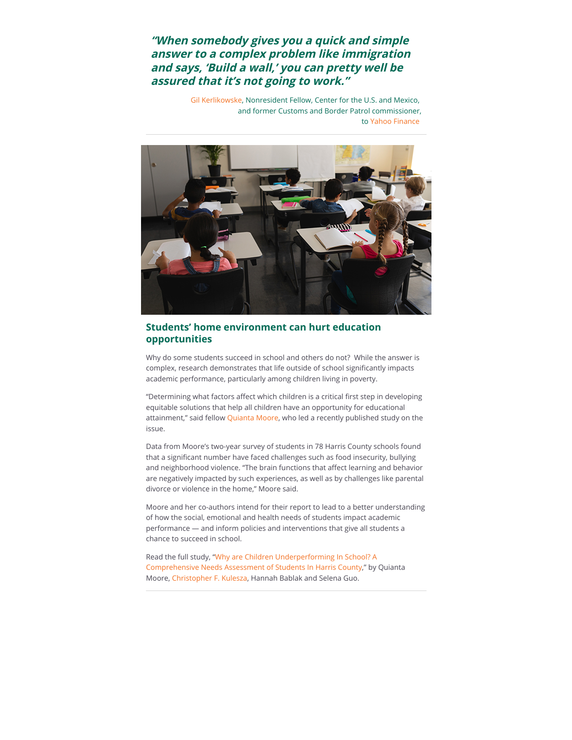# **"When somebody gives you a quick and simple answer to a complex problem like immigration and says, 'Build a wall,' you can pretty well be assured that it's not going to work."**

[Gil Kerlikowske](https://riceconnect.rice.edu/page.redir?target=https%3a%2f%2fwww.bakerinstitute.org%2fexperts%2fgil-kerlikowske%2f&srcid=164293&srctid=1&erid=43c28197-07c5-434e-95d9-419e6473e201&trid=43c28197-07c5-434e-95d9-419e6473e201), Nonresident Fellow, Center for the U.S. and Mexico, and former Customs and Border Patrol commissioner, to [Yahoo Finance](https://riceconnect.rice.edu/page.redir?target=https%3a%2f%2fca.finance.yahoo.com%2fnews%2ftrump-border-wall-expensive-160152015.html%3fsoc_src%3dsocial-sh%26soc_trk%3dtw&srcid=164293&srctid=1&erid=43c28197-07c5-434e-95d9-419e6473e201&trid=43c28197-07c5-434e-95d9-419e6473e201)



### **Students' home environment can hurt education opportunities**

Why do some students succeed in school and others do not? While the answer is complex, research demonstrates that life outside of school significantly impacts academic performance, particularly among children living in poverty.

"Determining what factors affect which children is a critical first step in developing equitable solutions that help all children have an opportunity for educational attainment," said fellow [Quianta Moore](https://riceconnect.rice.edu/page.redir?target=https%3a%2f%2fwww.bakerinstitute.org%2fexperts%2fquianta-moore%2f&srcid=164293&srctid=1&erid=43c28197-07c5-434e-95d9-419e6473e201&trid=43c28197-07c5-434e-95d9-419e6473e201), who led a recently published study on the issue.

Data from Moore's two-year survey of students in 78 Harris County schools found that a significant number have faced challenges such as food insecurity, bullying and neighborhood violence. "The brain functions that affect learning and behavior are negatively impacted by such experiences, as well as by challenges like parental divorce or violence in the home," Moore said.

Moore and her co-authors intend for their report to lead to a better understanding of how the social, emotional and health needs of students impact academic performance — and inform policies and interventions that give all students a chance to succeed in school.

Read the full study, "Why are Children Underperforming In School? A [Comprehensive Needs Assessment of Students In Harris County," by](https://riceconnect.rice.edu/page.redir?target=https%3a%2f%2fwww.bakerinstitute.org%2fmedia%2ffiles%2ffiles%2f29816f15%2fchb-pub-harrisco-091120-1.pdf&srcid=164293&srctid=1&erid=43c28197-07c5-434e-95d9-419e6473e201&trid=43c28197-07c5-434e-95d9-419e6473e201) Quianta Moore[, Christopher F. Kulesza](https://riceconnect.rice.edu/page.redir?target=https%3a%2f%2fwww.bakerinstitute.org%2fexperts%2fchristopher%2f&srcid=164293&srctid=1&erid=43c28197-07c5-434e-95d9-419e6473e201&trid=43c28197-07c5-434e-95d9-419e6473e201), Hannah Bablak and Selena Guo.